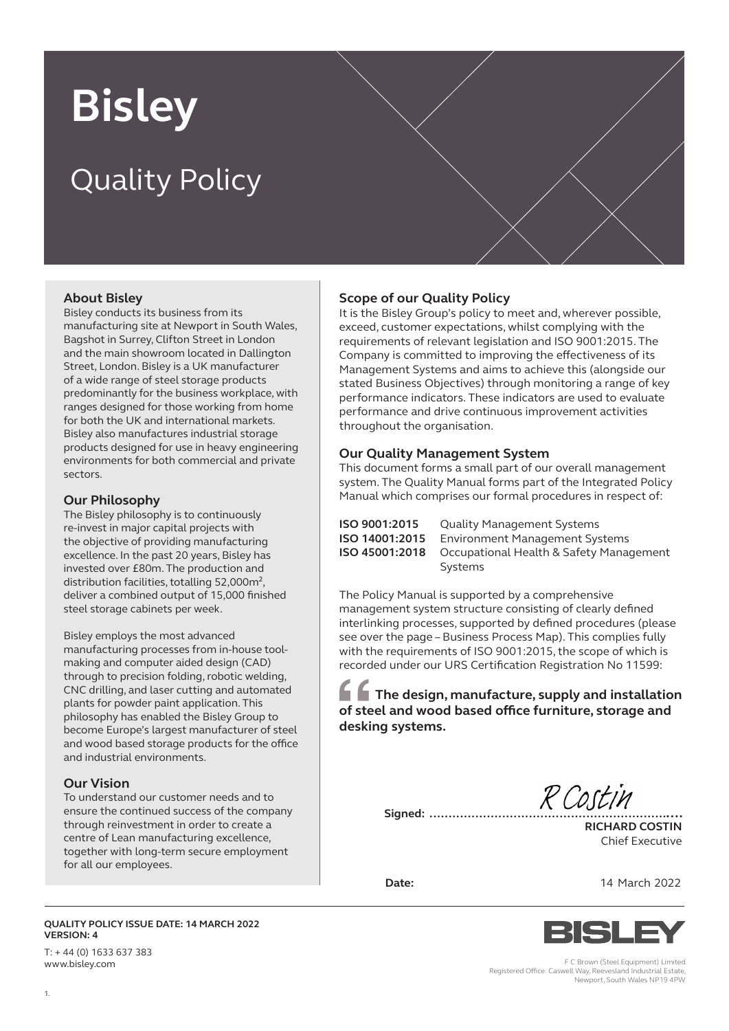# **Bisley**

# Quality Policy

# **About Bisley**

Bisley conducts its business from its manufacturing site at Newport in South Wales, Bagshot in Surrey, Clifton Street in London and the main showroom located in Dallington Street, London. Bisley is a UK manufacturer of a wide range of steel storage products predominantly for the business workplace, with ranges designed for those working from home for both the UK and international markets. Bisley also manufactures industrial storage products designed for use in heavy engineering environments for both commercial and private sectors.

# **Our Philosophy**

The Bisley philosophy is to continuously re-invest in major capital projects with the objective of providing manufacturing excellence. In the past 20 years, Bisley has invested over £80m. The production and distribution facilities, totalling 52,000m², deliver a combined output of 15,000 finished steel storage cabinets per week.

Bisley employs the most advanced manufacturing processes from in-house toolmaking and computer aided design (CAD) through to precision folding, robotic welding, CNC drilling, and laser cutting and automated plants for powder paint application. This philosophy has enabled the Bisley Group to become Europe's largest manufacturer of steel and wood based storage products for the office and industrial environments.

# **Our Vision**

To understand our customer needs and to ensure the continued success of the company through reinvestment in order to create a centre of Lean manufacturing excellence, together with long-term secure employment for all our employees.

#### **QUALITY POLICY ISSUE DATE: 14 MARCH 2022 VERSION: 4**

T: + 44 (0) 1633 637 383

## **Scope of our Quality Policy**

It is the Bisley Group's policy to meet and, wherever possible, exceed, customer expectations, whilst complying with the requirements of relevant legislation and ISO 9001:2015. The Company is committed to improving the effectiveness of its Management Systems and aims to achieve this (alongside our stated Business Objectives) through monitoring a range of key performance indicators. These indicators are used to evaluate performance and drive continuous improvement activities throughout the organisation.

#### **Our Quality Management System**

This document forms a small part of our overall management system. The Quality Manual forms part of the Integrated Policy Manual which comprises our formal procedures in respect of:

| ISO 9001:2015  | <b>Quality Management Systems</b>       |
|----------------|-----------------------------------------|
| ISO 14001:2015 | <b>Environment Management Systems</b>   |
| ISO 45001:2018 | Occupational Health & Safety Management |
|                | Systems                                 |

The Policy Manual is supported by a comprehensive management system structure consisting of clearly defined interlinking processes, supported by defined procedures (please see over the page – Business Process Map). This complies fully with the requirements of ISO 9001:2015, the scope of which is recorded under our URS Certification Registration No 11599:

 **The design, manufacture, supply and installation of steel and wood based office furniture, storage and desking systems. s**<br>of ste<br>deski

**Signed: ..................................................................**

**RICHARD COSTIN** Chief Executive

**Date:** 14 March 2022